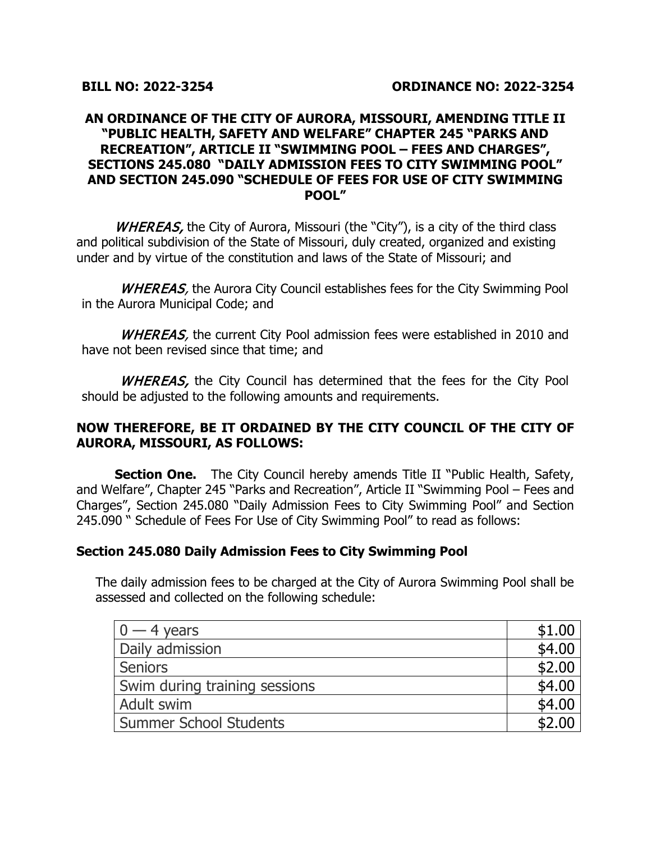#### **AN ORDINANCE OF THE CITY OF AURORA, MISSOURI, AMENDING TITLE II "PUBLIC HEALTH, SAFETY AND WELFARE" CHAPTER 245 "PARKS AND RECREATION", ARTICLE II "SWIMMING POOL – FEES AND CHARGES", SECTIONS 245.080 "DAILY ADMISSION FEES TO CITY SWIMMING POOL" AND SECTION 245.090 "SCHEDULE OF FEES FOR USE OF CITY SWIMMING POOL"**

WHEREAS, the City of Aurora, Missouri (the "City"), is a city of the third class and political subdivision of the State of Missouri, duly created, organized and existing under and by virtue of the constitution and laws of the State of Missouri; and

WHEREAS, the Aurora City Council establishes fees for the City Swimming Pool in the Aurora Municipal Code; and

WHEREAS, the current City Pool admission fees were established in 2010 and have not been revised since that time; and

WHEREAS, the City Council has determined that the fees for the City Pool should be adjusted to the following amounts and requirements.

#### **NOW THEREFORE, BE IT ORDAINED BY THE CITY COUNCIL OF THE CITY OF AURORA, MISSOURI, AS FOLLOWS:**

**Section One.** The City Council hereby amends Title II "Public Health, Safety, and Welfare", Chapter 245 "Parks and Recreation", Article II "Swimming Pool – Fees and Charges", Section 245.080 "Daily Admission Fees to City Swimming Pool" and Section 245.090 " Schedule of Fees For Use of City Swimming Pool" to read as follows:

### **Section 245.080 Daily Admission Fees to City Swimming Pool**

The daily admission fees to be charged at the City of Aurora Swimming Pool shall be assessed and collected on the following schedule:

| $0 - 4$ years                 | \$1.00 |
|-------------------------------|--------|
| Daily admission               | \$4.00 |
| <b>Seniors</b>                | \$2.00 |
| Swim during training sessions | \$4.00 |
| Adult swim                    | \$4.00 |
| <b>Summer School Students</b> |        |